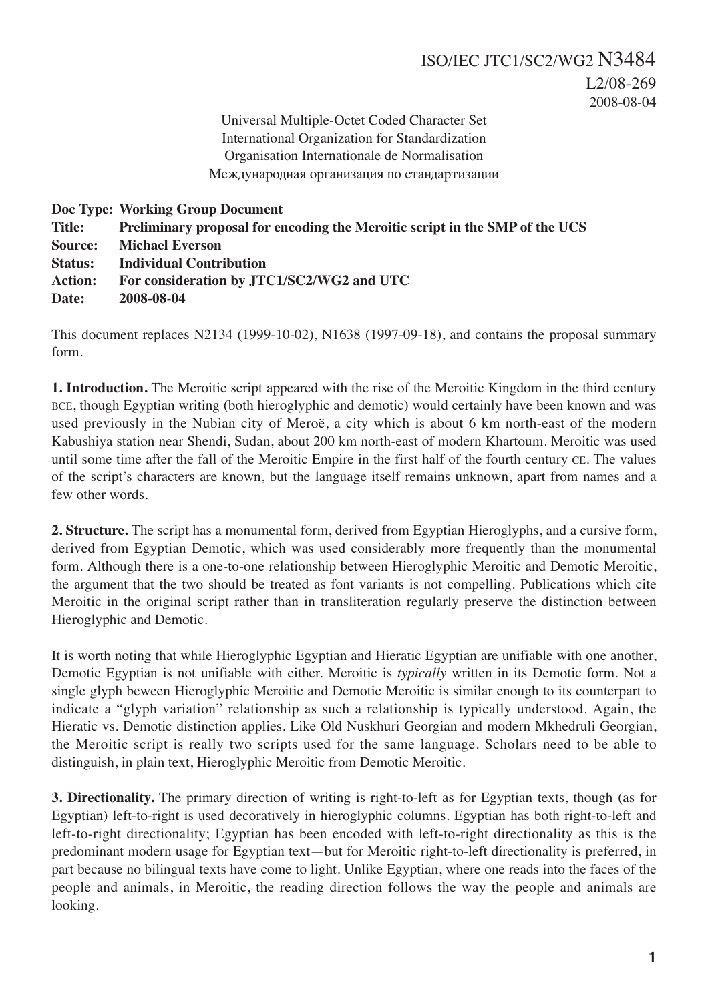Universal Multiple-Octet Coded Character Set International Organization for Standardization Organisation Internationale de Normalisation Международная организация по стандартизации

|                | Doc Type: Working Group Document                                            |
|----------------|-----------------------------------------------------------------------------|
| <b>Title:</b>  | Preliminary proposal for encoding the Meroitic script in the SMP of the UCS |
| Source:        | <b>Michael Everson</b>                                                      |
| <b>Status:</b> | <b>Individual Contribution</b>                                              |
| <b>Action:</b> | For consideration by JTC1/SC2/WG2 and UTC                                   |
| Date:          | 2008-08-04                                                                  |

This document replaces N2134 (1999-10-02), N1638 (1997-09-18), and contains the proposal summary form.

**1. Introduction.** The Meroitic script appeared with the rise of the Meroitic Kingdom in the third century BCE, though Egyptian writing (both hieroglyphic and demotic) would certainly have been known and was used previously in the Nubian city of Meroë, a city which is about 6 km north-east of the modern Kabushiya station near Shendi, Sudan, about 200 km north-east of modern Khartoum. Meroitic was used until some time after the fall of the Meroitic Empire in the first half of the fourth century CE. The values of the script's characters are known, but the language itself remains unknown, apart from names and a few other words.

**2. Structure.** The script has a monumental form, derived from Egyptian Hieroglyphs, and a cursive form, derived from Egyptian Demotic, which was used considerably more frequently than the monumental form. Although there is a one-to-one relationship between Hieroglyphic Meroitic and Demotic Meroitic, the argument that the two should be treated as font variants is not compelling. Publications which cite Meroitic in the original script rather than in transliteration regularly preserve the distinction between Hieroglyphic and Demotic.

It is worth noting that while Hieroglyphic Egyptian and Hieratic Egyptian are unifiable with one another, Demotic Egyptian is not unifiable with either. Meroitic is *typically* written in its Demotic form. Not a single glyph beween Hieroglyphic Meroitic and Demotic Meroitic is similar enough to its counterpart to indicate a "glyph variation" relationship as such a relationship is typically understood. Again, the Hieratic vs. Demotic distinction applies. Like Old Nuskhuri Georgian and modern Mkhedruli Georgian, the Meroitic script is really two scripts used for the same language. Scholars need to be able to distinguish, in plain text, Hieroglyphic Meroitic from Demotic Meroitic.

**3. Directionality.** The primary direction of writing is right-to-left as for Egyptian texts, though (as for Egyptian) left-to-right is used decoratively in hieroglyphic columns. Egyptian has both right-to-left and left-to-right directionality; Egyptian has been encoded with left-to-right directionality as this is the predominant modern usage for Egyptian text—but for Meroitic right-to-left directionality is preferred, in part because no bilingual texts have come to light. Unlike Egyptian, where one reads into the faces of the people and animals, in Meroitic, the reading direction follows the way the people and animals are looking.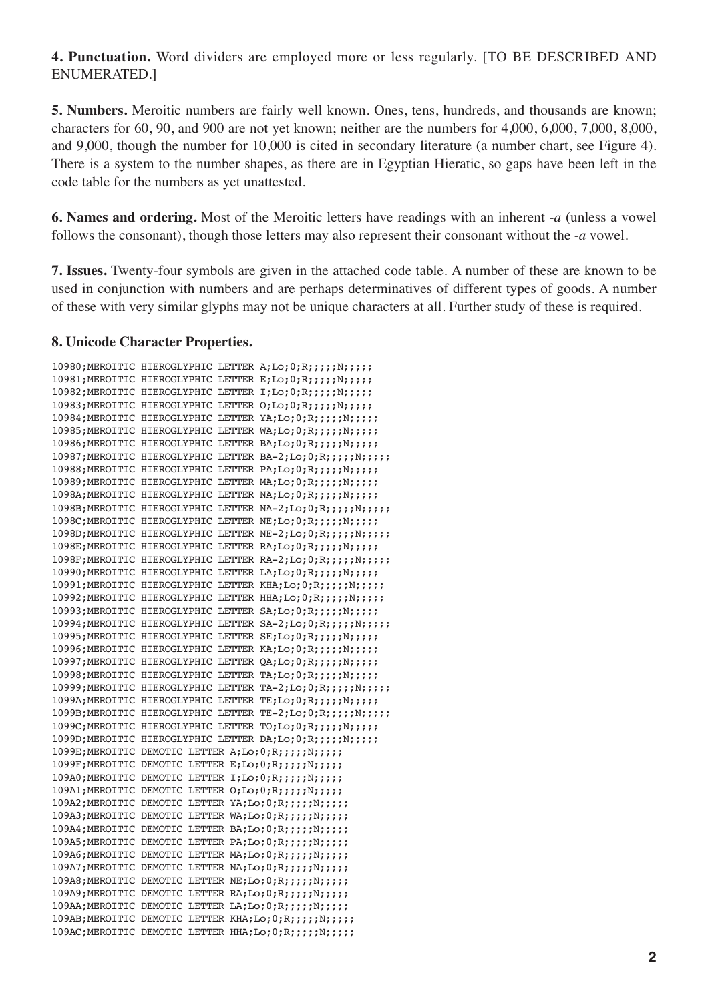**4. Punctuation.** Word dividers are employed more or less regularly. [TO BE DESCRIBED AND ENUMERATED.]

**5. Numbers.** Meroitic numbers are fairly well known. Ones, tens, hundreds, and thousands are known; characters for 60, 90, and 900 are not yet known; neither are the numbers for 4,000, 6,000, 7,000, 8,000, and 9,000, though the number for 10,000 is cited in secondary literature (a number chart, see Figure 4). There is a system to the number shapes, as there are in Egyptian Hieratic, so gaps have been left in the code table for the numbers as yet unattested.

**6. Names and ordering.** Most of the Meroitic letters have readings with an inherent -*a* (unless a vowel follows the consonant), though those letters may also represent their consonant without the -*a* vowel.

**7. Issues.** Twenty-four symbols are given in the attached code table. A number of these are known to be used in conjunction with numbers and are perhaps determinatives of different types of goods. A number of these with very similar glyphs may not be unique characters at all. Further study of these is required.

### **8. Unicode Character Properties.**

|                                                                |  | 10980; MEROITIC HIEROGLYPHIC LETTER A; Lo; 0; R;;;;; ;N;;;;;         |
|----------------------------------------------------------------|--|----------------------------------------------------------------------|
|                                                                |  | 10981; MEROITIC HIEROGLYPHIC LETTER E; Lo; 0; R;;;;; N;;;;;          |
|                                                                |  | 10982; MEROITIC HIEROGLYPHIC LETTER I; Lo; 0; R;;;;; N;;;;;          |
|                                                                |  | 10983; MEROITIC HIEROGLYPHIC LETTER O; Lo; 0; R;;;;; N;;;;;          |
|                                                                |  | 10984; MEROITIC HIEROGLYPHIC LETTER YA; Lo; 0; R;;;;;; N;;;;;        |
|                                                                |  | 10985; MEROITIC HIEROGLYPHIC LETTER WA; Lo; 0; R;;;;; N;;;;;         |
|                                                                |  | 10986; MEROITIC HIEROGLYPHIC LETTER BA; Lo; 0; R;;;;;; N;;;;;        |
|                                                                |  | 10987; MEROITIC HIEROGLYPHIC LETTER BA-2; Lo; 0; R;;;;; N;;;;;       |
|                                                                |  | 10988; MEROITIC HIEROGLYPHIC LETTER PA; Lo; 0; R; ; ; ; ; N; ; ; ; ; |
|                                                                |  | 10989; MEROITIC HIEROGLYPHIC LETTER MA; Lo; 0; R;;;;; ; N;;;;;       |
|                                                                |  | 1098A; MEROITIC HIEROGLYPHIC LETTER NA; Lo; 0; R;;;;;; N;;;;;        |
|                                                                |  | 1098B; MEROITIC HIEROGLYPHIC LETTER NA-2; Lo; 0; R;;;;; N;;;;;       |
|                                                                |  | 1098C; MEROITIC HIEROGLYPHIC LETTER NE; Lo; 0; R;;;;;;N;;;;;         |
|                                                                |  | 1098D; MEROITIC HIEROGLYPHIC LETTER NE-2; Lo; 0; R;;;;; N;;;;;       |
|                                                                |  | 1098E; MEROITIC HIEROGLYPHIC LETTER RA; Lo; 0; R;;;;; ; ; ;;;;;      |
|                                                                |  | 1098F; MEROITIC HIEROGLYPHIC LETTER RA-2; Lo; 0; R;;;;; N;;;;;       |
|                                                                |  | 10990; MEROITIC HIEROGLYPHIC LETTER LA; Lo; 0; R;;;;;;N;;;;;         |
|                                                                |  | 10991; MEROITIC HIEROGLYPHIC LETTER KHA; Lo; 0; R;;;;; N;;;;;        |
|                                                                |  | 10992; MEROITIC HIEROGLYPHIC LETTER HHA; Lo; 0; R;;;;; N;;;;;        |
|                                                                |  | 10993; MEROITIC HIEROGLYPHIC LETTER SA; Lo; 0; R;;;;; N;;;;;         |
|                                                                |  | 10994; MEROITIC HIEROGLYPHIC LETTER SA-2; Lo; 0; R;;;;; N;;;;;       |
|                                                                |  | 10995; MEROITIC HIEROGLYPHIC LETTER SE; Lo; 0; R;;;;;; N;;;;;        |
|                                                                |  | 10996; MEROITIC HIEROGLYPHIC LETTER KA; Lo; 0; R;;;;; N;;;;;         |
|                                                                |  | 10997; MEROITIC HIEROGLYPHIC LETTER QA; Lo; 0; R;;;;; N;;;;;         |
|                                                                |  | 10998; MEROITIC HIEROGLYPHIC LETTER TA; Lo; 0; R;;;;;; N;;;;;        |
|                                                                |  | 10999; MEROITIC HIEROGLYPHIC LETTER TA-2; Lo; 0; R;;;;; N;;;;;       |
|                                                                |  | 1099A; MEROITIC HIEROGLYPHIC LETTER TE; Lo; 0; R;;;;;; N;;;;;        |
|                                                                |  | 1099B; MEROITIC HIEROGLYPHIC LETTER TE-2; Lo; 0; R;;;;; ; N;;;;;     |
|                                                                |  | 1099C; MEROITIC HIEROGLYPHIC LETTER TO; Lo; 0; R;;;;;; N;;;;;        |
|                                                                |  | 1099D; MEROITIC HIEROGLYPHIC LETTER DA; Lo; 0; R;;;;;; N;;;;;        |
| 1099E; MEROITIC DEMOTIC LETTER A; Lo; 0; R; ; ; ; ; N; ; ; ; ; |  |                                                                      |
| 1099F;MEROITIC DEMOTIC LETTER E;Lo;0;R;;;;;N;;;;;              |  |                                                                      |
| 109A0; MEROITIC DEMOTIC LETTER I; Lo; 0; R;;;;;;N;;;;;         |  |                                                                      |
| 109A1; MEROITIC DEMOTIC LETTER O; Lo; 0; R;;;;; N;;;;;         |  |                                                                      |
|                                                                |  | 109A2; MEROITIC DEMOTIC LETTER YA; Lo; 0; R; ;;;; ; N; ;;;;          |
|                                                                |  | 109A3; MEROITIC DEMOTIC LETTER WA; Lo; 0; R;;;;; N;;;;;              |
|                                                                |  | 109A4; MEROITIC DEMOTIC LETTER BA; Lo; 0; R;;;;; N;;;;;              |
|                                                                |  | 109A5; MEROITIC DEMOTIC LETTER PA; Lo; 0; R; ;;;; ; N; ;;;;          |
|                                                                |  | 109A6; MEROITIC DEMOTIC LETTER MA; Lo; 0; R;;;;;;N;;;;;              |
|                                                                |  | 109A7; MEROITIC DEMOTIC LETTER NA; Lo; 0; R;;;;;;N;;;;;              |
|                                                                |  | 109A8; MEROITIC DEMOTIC LETTER NE; Lo; 0; R;;;;;;N;;;;;              |
|                                                                |  | 109A9; MEROITIC DEMOTIC LETTER RA; Lo; 0; R;;;;;; N;;;;;             |
|                                                                |  | 109AA; MEROITIC DEMOTIC LETTER LA; Lo; 0; R; ; ; ; ; N; ; ; ; ;      |
|                                                                |  | 109AB; MEROITIC DEMOTIC LETTER KHA; Lo; 0; R;;;;; N;;;;;             |
|                                                                |  | 109AC; MEROITIC DEMOTIC LETTER HHA; Lo; 0; R;;;;; N;;;;;             |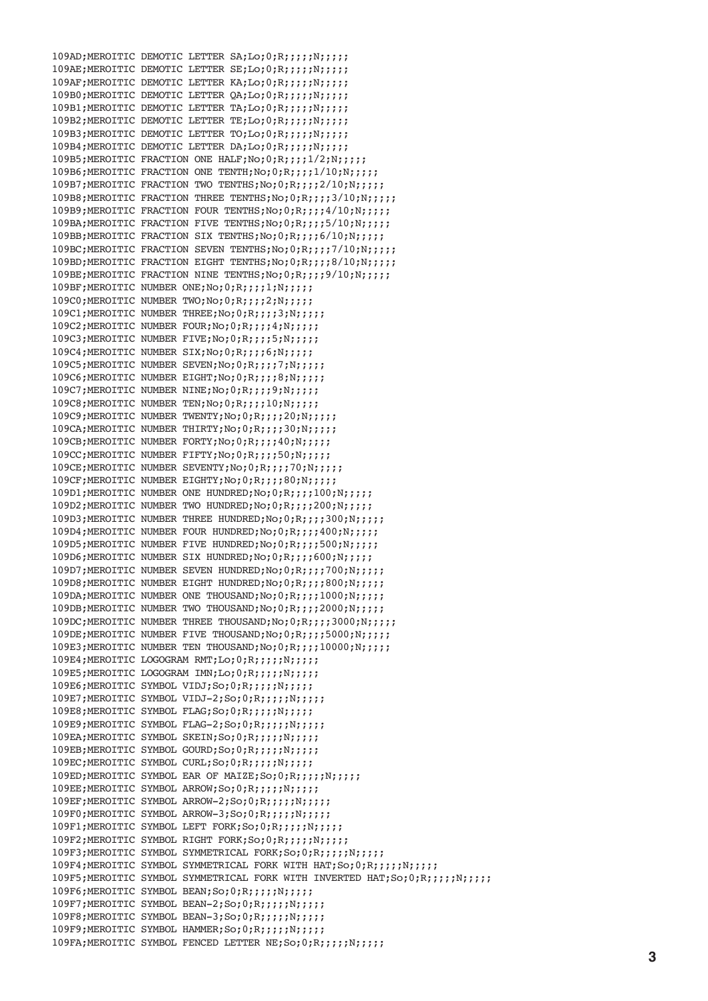109AD;MEROITIC DEMOTIC LETTER SA;Lo;0;R;;;;;N;;;;; 109AE;MEROITIC DEMOTIC LETTER SE;Lo;0;R;;;;;N;;;;; 109AF;MEROITIC DEMOTIC LETTER KA;Lo;0;R;;;;;N;;;;; 109B0;MEROITIC DEMOTIC LETTER QA;Lo;0;R;;;;;N;;;;; 109B1;MEROITIC DEMOTIC LETTER TA;Lo;0;R;;;;;N;;;;;; 109B2;MEROITIC DEMOTIC LETTER TE;Lo;0;R;;;;;N;;;;;; 109B3;MEROITIC DEMOTIC LETTER TO;Lo;0;R;;;;;N;;;;; 109B4;MEROITIC DEMOTIC LETTER DA;Lo;0;R;;;;;N;;;;;; 109B5;MEROITIC FRACTION ONE HALF;No;0;R;;;;1/2;N;;;;; 109B6;MEROITIC FRACTION ONE TENTH;No;0;R;;;;;1/10;N;;;;;; 109B7;MEROITIC FRACTION TWO TENTHS;No;0;R;;;;2/10;N;;;;;; 109B8;MEROITIC FRACTION THREE TENTHS;No;0;R;;;;3/10;N;;;;;; 109B9;MEROITIC FRACTION FOUR TENTHS;No;0;R;;;;4/10;N;;;;;; 109BA;MEROITIC FRACTION FIVE TENTHS;No;0;R;;;;;5/10;N;;;;;; 109BB;MEROITIC FRACTION SIX TENTHS;No;0;R;;;;6/10;N;;;;;; 109BC;MEROITIC FRACTION SEVEN TENTHS;No;0;R;;;;7/10;N;;;;; 109BD;MEROITIC FRACTION EIGHT TENTHS;No;0;R;;;;8/10;N;;;;; 109BE;MEROITIC FRACTION NINE TENTHS;No;0;R;;;;9/10;N;;;;;; 109BF;MEROITIC NUMBER ONE;No;0;R;;;;1;N;;;;;; 109C0;MEROITIC NUMBER TWO;No;0;R;;;;2;N;;;;; 109C1;MEROITIC NUMBER THREE;No;0;R;;;;3;N;;;;; 109C2;MEROITIC NUMBER FOUR;No;0;R;;;;4;N;;;;;; 109C3;MEROITIC NUMBER FIVE;No;0;R;;;;5;N;;;;; 109C4;MEROITIC NUMBER SIX;No;0;R;;;;6;N;;;;; 109C5;MEROITIC NUMBER SEVEN;No;0;R;;;;7;N;;;;;; 109C6;MEROITIC NUMBER EIGHT;No;0;R;;;;8;N;;;;; 109C7;MEROITIC NUMBER NINE;No;0;R;;;;9;N;;;;; 109C8;MEROITIC NUMBER TEN;No;0;R;;;;10;N;;;;;; 109C9;MEROITIC NUMBER TWENTY;No;0;R;;;;20;N;;;;; 109CA;MEROITIC NUMBER THIRTY;No;0;R;;;;30;N;;;;;; 109CB;MEROITIC NUMBER FORTY;No;0;R;;;;40;N;;;;; 109CC;MEROITIC NUMBER FIFTY;No;0;R;;;;;50;N;;;;;; 109CE;MEROITIC NUMBER SEVENTY;No;0;R;;;;70;N;;;;;; 109CF;MEROITIC NUMBER EIGHTY;No;0;R;;;;80;N;;;;;; 109D1;MEROITIC NUMBER ONE HUNDRED;No;0;R;;;;100;N;;;;;; 109D2;MEROITIC NUMBER TWO HUNDRED;No;0;R;;;;;200;N;;;;;; 109D3;MEROITIC NUMBER THREE HUNDRED;No;0;R;;;;;300;N;;;;;; 109D4:MEROITIC NUMBER FOUR HUNDRED;No;0;R;;;;;400;N;;;;;; 109D5;MEROITIC NUMBER FIVE HUNDRED;No;0;R;;;;;500;N;;;;;; 109D6;MEROITIC NUMBER SIX HUNDRED;No;0;R;;;;600;N;;;;;; 109D7;MEROITIC NUMBER SEVEN HUNDRED;No;0;R;;;;700;N;;;;;; 109D8;MEROITIC NUMBER EIGHT HUNDRED;No;0;R;;;;;800;N;;;;;; 109DA;MEROITIC NUMBER ONE THOUSAND;No;0;R;;;;;1000;N;;;;;; 109DB;MEROITIC NUMBER TWO THOUSAND;No;0;R;;;;;2000;N;;;;;; 109DC;MEROITIC NUMBER THREE THOUSAND;No;0;R;;;;;3000;N;;;;;; 109DE;MEROITIC NUMBER FIVE THOUSAND;No;0;R;;;;;5000;N;;;;;; 109E3;MEROITIC NUMBER TEN THOUSAND;No;0;R;;;;10000;N;;;;; 109E4;MEROITIC LOGOGRAM RMT;Lo;0;R;;;;;N;;;;; 109E5;MEROITIC LOGOGRAM IMN;Lo;0;R;;;;;N;;;;; 109E6;MEROITIC SYMBOL VIDJ;So;0;R;;;;;N;;;;; 109E7:MEROITIC SYMBOL VIDJ-2;So;0;R;;;;;N;;;;;; 109E8;MEROITIC SYMBOL FLAG;So;0;R;;;;;N;;;;;; 109E9;MEROITIC SYMBOL FLAG-2;So;0;R;;;;;N;;;;; 109EA:MEROITIC SYMBOL SKEIN:So:0:R:::::N::::; 109EB;MEROITIC SYMBOL GOURD;So;0;R;;;;;N;;;;;; 109EC;MEROITIC SYMBOL CURL;So;0;R;;;;;N;;;;;; 109ED;MEROITIC SYMBOL EAR OF MAIZE;So;0;R;;;;;N;;;;;; 109EE;MEROITIC SYMBOL ARROW;So;0;R;;;;;N;;;;;; 109EF;MEROITIC SYMBOL ARROW-2;So;0;R;;;;;N;;;;; 109F0;MEROITIC SYMBOL ARROW-3;So;0;R;;;;;N;;;;;; 109F1;MEROITIC SYMBOL LEFT FORK;So;0;R;;;;;N;;;;;; 109F2;MEROITIC SYMBOL RIGHT FORK;So;0;R;;;;;N;;;;; 109F3;MEROITIC SYMBOL SYMMETRICAL FORK;So;0;R;;;;;N;;;;; 109F4;MEROITIC SYMBOL SYMMETRICAL FORK WITH HAT;So;0;R;;;;;N;;;;;; 109F5;MEROITIC SYMBOL SYMMETRICAL FORK WITH INVERTED HAT;So;0;R;;;;;N;;;;;; 109F6;MEROITIC SYMBOL BEAN; So; 0; R;;;;;N;;;;;; 109F7;MEROITIC SYMBOL BEAN-2;So;0;R;;;;;N;;;;; 109F8;MEROITIC SYMBOL BEAN-3;So;0;R;;;;;N;;;;; 109F9;MEROITIC SYMBOL HAMMER;So;0;R;;;;;N;;;;; 109FA;MEROITIC SYMBOL FENCED LETTER NE; So; 0; R;;;;;;N;;;;;;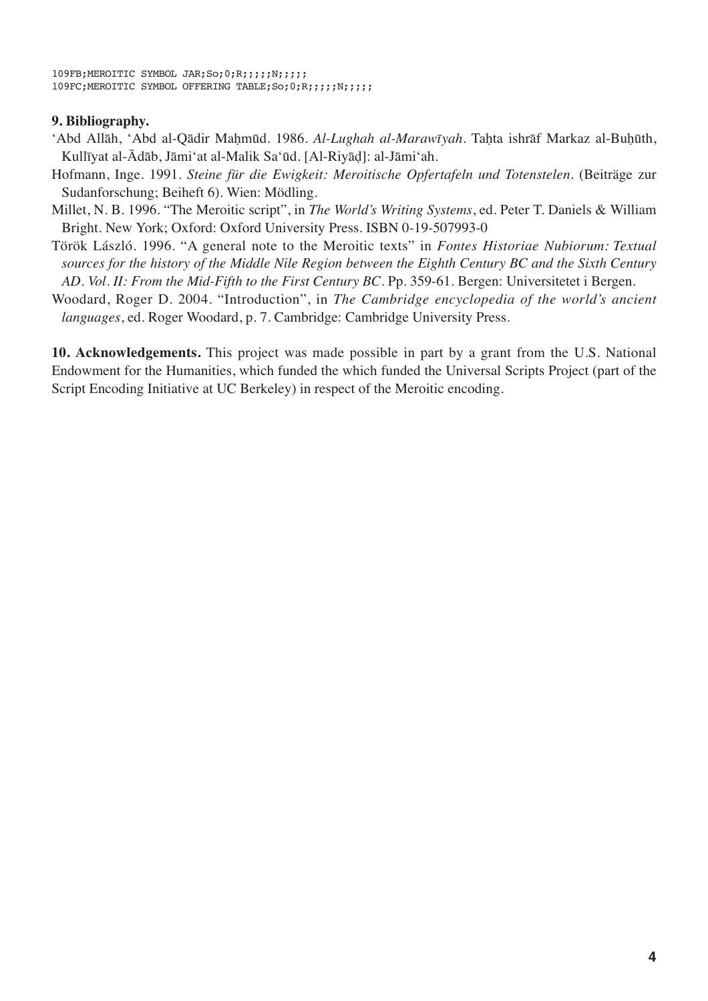```
109FB;MEROITIC SYMBOL JAR;So;0;R;;;;;N;;;;;
109FC;MEROITIC SYMBOL OFFERING TABLE;So;0;R;;;;;N;;;;;
```
### **9. Bibliography.**

- 'Abd Allāh, 'Abd al-Qādir Maḥmūd. 1986. *Al-Lughah al-Marawīyah.* Taḥta ishrāf Markaz al-Buḥūth, Kullīyat al-Ādāb, Jāmiʻat al-Malik Saʻūd. [Al-Riyāḍ]: al-Jāmiʻah.
- Hofmann, Inge. 1991. *Steine für die Ewigkeit: Meroitische Opfertafeln und Totenstelen*. (Beiträge zur Sudanforschung; Beiheft 6). Wien: Mödling.
- Millet, N. B. 1996. "The Meroitic script", in *The World's Writing Systems*, ed. Peter T. Daniels & William Bright. New York; Oxford: Oxford University Press. ISBN 0-19-507993-0
- Török László. 1996. "A general note to the Meroitic texts" in *Fontes Historiae Nubiorum: Textual sources for the history of the Middle Nile Region between the Eighth Century BC and the Sixth Century AD. Vol. II: From the Mid-Fifth to the First Century BC*. Pp. 359-61. Bergen: Universitetet i Bergen.
- Woodard, Roger D. 2004. "Introduction", in *The Cambridge encyclopedia of the world's ancient languages*, ed. Roger Woodard, p. 7. Cambridge: Cambridge University Press.

**10. Acknowledgements.** This project was made possible in part by a grant from the U.S. National Endowment for the Humanities, which funded the which funded the Universal Scripts Project (part of the Script Encoding Initiative at UC Berkeley) in respect of the Meroitic encoding.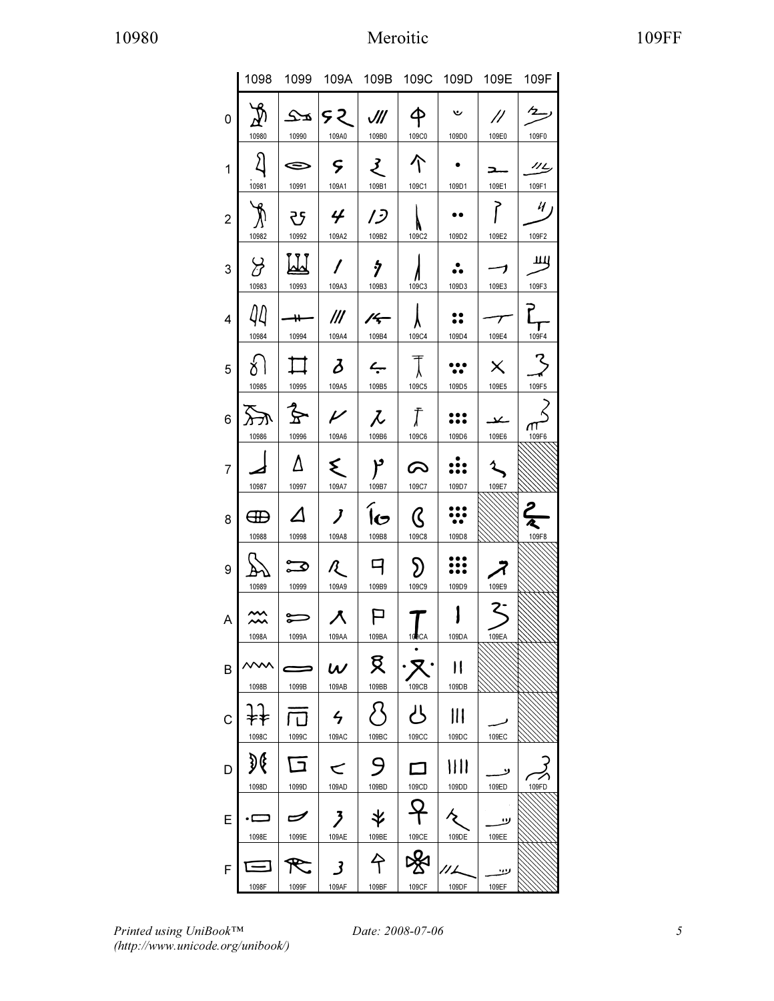# 10980 Meroitic 109FF

|                |                    |                                   |                                    |                                   |                             |             |                                   | 1098 1099 109A 109B 109C 109D 109E 109F |
|----------------|--------------------|-----------------------------------|------------------------------------|-----------------------------------|-----------------------------|-------------|-----------------------------------|-----------------------------------------|
| 0              | 10980              | 10990                             | $ S2 $ and $ S3 $<br>109A0         | 109B0                             | $\hat{\mathsf{P}}$<br>109C0 | ىپ<br>109D0 | $\mu$<br>109E0                    | رسيم<br>109F0                           |
| 1              | $\Omega$<br>10981  | $\Leftrightarrow$<br>10991        | $\varsigma$<br>109A1               | $\mathcal{L}$<br>109B1            | 个<br>109C1                  | 109D1       | $\overline{\phantom{a}}$<br>109E1 | 112<br>109F1                            |
| $\overline{2}$ | $\lambda$<br>10982 | 10992                             | <u>ਲ</u> ∣ <i>¥</i><br>109A2 109B2 | $\mid$ 13                         | 109C2                       | 109D2       | 109E2                             | 4 <br>109F2                             |
| 3              | $\beta$<br>10983   | M<br>10993                        | $\prime$<br>109A3                  | ş<br>109B3                        | 109C3                       | 109D3       | っ<br>109E3                        | யி<br>109F3                             |
| $\overline{4}$ | 44<br>10984        | $\overline{\phantom{a}}$<br>10994 | $^{\prime\prime\prime}$<br>109A4   | $\frac{1}{4}$<br>109B4            | 109C4                       | 109D4       | $\overline{\tau}$<br>109E4        | <u>ן</u><br>109F4                       |
| 5              | $\{ \}$<br>10985   | $\Box$<br>10995                   | $\delta$<br>109A5                  | $\overline{\phantom{a}}$<br>109B5 | $\top$<br>109C5             | 109D5       | $\times$<br>109E5                 | 109F5                                   |
| 6              | $ \pi$<br>10986    | $\mathbf{\hat{z}}$<br>10996       | $\mathcal{V}$<br>109A6             | $\mid \mathcal{L}$<br>109B6       | $\int$<br>109C6             | 109D6       | حك<br>109E6                       | π<br>109F6                              |
| $\overline{7}$ | 10987              | Δ<br>10997                        | ₹<br>109A7                         | ٢<br>109B7                        | $\infty$<br>109C7           | 109D7       | 109E7                             |                                         |
| 8              | ⊕<br>10988         | $\Delta$<br>10998                 | $\boldsymbol{J}$<br>109A8          | lG.<br>109B8                      | ${\cal C}$<br>109C8         | 109D8       |                                   | $\frac{2}{3}$<br>109F8                  |
| 9              | 10989              | $\boldsymbol{\Xi}$<br>10999       | R -<br>109A9                       | 9<br>109B9                        | $\mathfrak{D}$<br>109C9     | 109D9       | 109E9                             |                                         |
| A              | 1098A              | 1099A                             | 109AA                              | 109BA                             | 100CA                       | 109DA       | 109EA                             |                                         |
| B              | 1098B              | 1099B                             | $\boldsymbol{\omega}$<br>109AB     | 又<br>109BB                        | 109CB                       | Н<br>109DB  |                                   |                                         |
| C              |                    |                                   | $\frac{1}{2}$                      |                                   | بالم                        |             | 109EC                             |                                         |
| D              | 1098C<br>G         | 1099C                             | 109AC                              | 109BC                             | 109CC                       | 109DC       |                                   |                                         |
| E              | 1098D<br>c         | 1099D                             | 109AD                              | 109BD                             | 109CD                       | 109DD       | 109ED<br>ر،                       | 109FD                                   |
| F              | 1098E              | 1099E                             | 109AE                              | 109BE                             | 109CE                       | 109DE       | 109EE<br>ر                        |                                         |
|                | 1098F              | 1099F                             | 109AF                              | 109BF                             | 109CF                       | 109DF       | 109EF                             |                                         |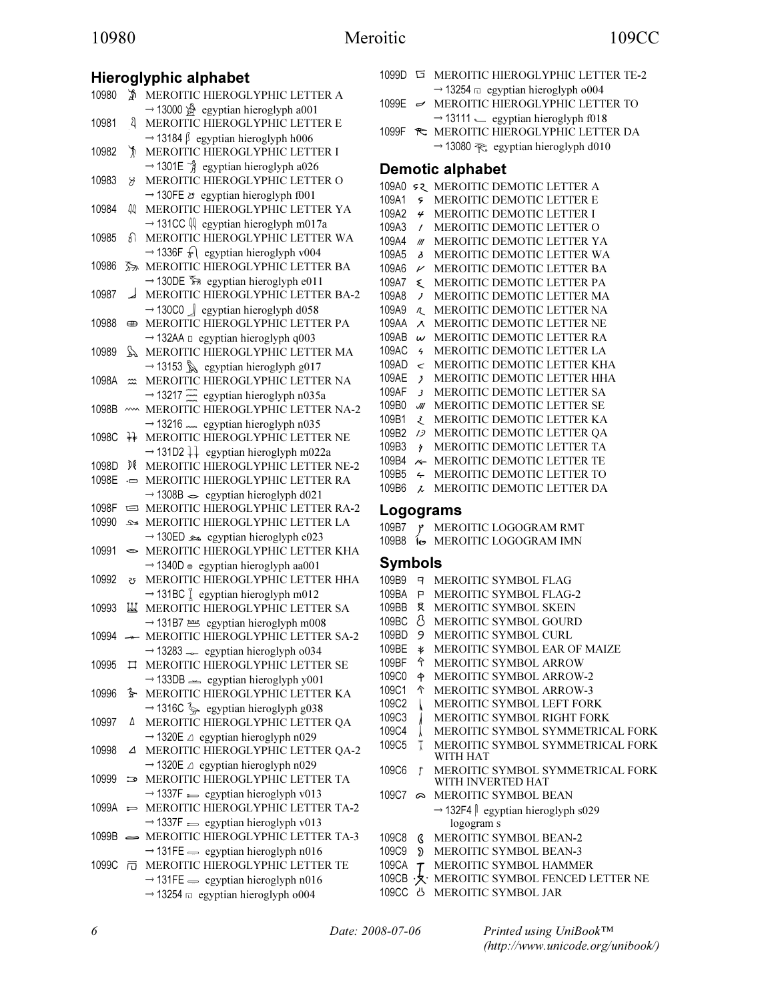# 10980 Meroitic 109CC

# Hieroglyphic alphabet

| 10980 | ₩                         | MEROITIC HIEROGLYPHIC LETTER A                                                                                                                            |
|-------|---------------------------|-----------------------------------------------------------------------------------------------------------------------------------------------------------|
| 10981 | ধ                         | $\rightarrow$ 13000 $\mathcal{L}$ egyptian hieroglyph a001<br>MEROITIC HIEROGLYPHIC LETTER E                                                              |
| 10982 | y                         | $\rightarrow$ 13184 $\beta$ egyptian hieroglyph h006<br>MEROITIC HIEROGLYPHIC LETTER I                                                                    |
| 10983 | 8                         | $\rightarrow$ 1301E $\frac{3}{4}$ egyptian hieroglyph a026<br>MEROITIC HIEROGLYPHIC LETTER O                                                              |
| 10984 | 44                        | $\rightarrow$ 130FE $\dot{\sigma}$ egyptian hieroglyph f001<br>MEROITIC HIEROGLYPHIC LETTER YA                                                            |
| 10985 | ୫ା                        | $\rightarrow$ 131CC $\sqrt{ }$ egyptian hieroglyph m017a<br>MEROITIC HIEROGLYPHIC LETTER WA<br>$\rightarrow$ 1336F $\mathcal{F}$ egyptian hieroglyph v004 |
| 10986 | 忝                         | MEROITIC HIEROGLYPHIC LETTER BA<br>→ 130DE T <sub>2</sub> egyptian hieroglyph e011                                                                        |
| 10987 | ┙                         | MEROITIC HIEROGLYPHIC LETTER BA-2<br>$\rightarrow$ 130C0 $\Box$ egyptian hieroglyph d058                                                                  |
| 10988 | ⊕                         | MEROITIC HIEROGLYPHIC LETTER PA<br>$\rightarrow$ 132AA $\Box$ egyptian hieroglyph q003                                                                    |
| 10989 | $\mathbb{M}$              | MEROITIC HIEROGLYPHIC LETTER MA<br>$\rightarrow$ 13153 $\&$ egyptian hieroglyph g017                                                                      |
| 1098A | $\widetilde{\phantom{m}}$ | MEROITIC HIEROGLYPHIC LETTER NA<br>$\rightarrow$ 13217 = egyptian hieroglyph n035a                                                                        |
| 1098B | $\sim$                    | MEROITIC HIEROGLYPHIC LETTER NA-2<br>$\rightarrow$ 13216  egyptian hieroglyph n035                                                                        |
| 1098C | 孖                         | MEROITIC HIEROGLYPHIC LETTER NE<br>$\rightarrow$ 131D2 $\downarrow\downarrow$ egyptian hieroglyph m022a                                                   |
| 1098D | DC                        | MEROITIC HIEROGLYPHIC LETTER NE-2                                                                                                                         |
| 1098E | ņ                         | MEROITIC HIEROGLYPHIC LETTER RA<br>$\rightarrow$ 1308B $\sim$ egyptian hieroglyph d021                                                                    |
| 1098F | Ξ                         | MEROITIC HIEROGLYPHIC LETTER RA-2                                                                                                                         |
| 10990 | ىدى                       | MEROITIC HIEROGLYPHIC LETTER LA                                                                                                                           |
| 10991 | $\bullet$                 | → 130ED ± egyptian hieroglyph e023<br>MEROITIC HIEROGLYPHIC LETTER KHA                                                                                    |
| 10992 | 5                         | $\rightarrow$ 1340D $\approx$ egyptian hieroglyph aa001<br>MEROITIC HIEROGLYPHIC LETTER HHA                                                               |
| 10993 | Ш                         | $\rightarrow$ 131BC $\int$ egyptian hieroglyph m012<br>MEROITIC HIEROGLYPHIC LETTER SA                                                                    |
|       |                           | → 131B7 2008 egyptian hieroglyph m                                                                                                                        |
| 10994 | $+$                       | MEROITIC HIEROGLYPHIC LETTER SA-2<br>$\rightarrow$ 13283 $\sim$ egyptian hieroglyph o034                                                                  |
| 10995 |                           | I MEROITIC HIEROGLYPHIC LETTER SE<br>$\rightarrow$ 133DB $\equiv$ egyptian hieroglyph y001                                                                |
| 10996 | ∱                         | MEROITIC HIEROGLYPHIC LETTER KA                                                                                                                           |
| 10997 | Δ                         | $\rightarrow$ 1316C $\frac{2}{3}$ egyptian hieroglyph g038<br>MEROITIC HIEROGLYPHIC LETTER QA                                                             |
| 10998 | Δ                         | $\rightarrow$ 1320E $\triangle$ egyptian hieroglyph n029<br>MEROITIC HIEROGLYPHIC LETTER QA-2                                                             |
| 10999 | ా                         | $\rightarrow$ 1320E $\triangle$ egyptian hieroglyph n029<br>MEROITIC HIEROGLYPHIC LETTER TA                                                               |
| 1099A | ់                         | $\rightarrow$ 1337F = egyptian hieroglyph v013<br>MEROITIC HIEROGLYPHIC LETTER TA-2                                                                       |
| 1099B | $\equiv$                  | $\rightarrow$ 1337F = egyptian hieroglyph v013<br>MEROITIC HIEROGLYPHIC LETTER TA-3<br>$\rightarrow$ 131FE $\equiv$ egyptian hieroglyph n016              |
| 1099C | 帀                         | MEROITIC HIEROGLYPHIC LETTER TE<br>$\rightarrow$ 131FE $\rightarrow$ egyptian hieroglyph n016<br>$\rightarrow$ 13254 $\Box$ egyptian hieroglyph o004      |

|  | 1099D <b>I</b> MEROITIC HIEROGLYPHIC LETTER TE-2    |
|--|-----------------------------------------------------|
|  | $\rightarrow$ 13254 $\Box$ egyptian hieroglyph o004 |
|  | 1099E - MEROITIC HIEROGLYPHIC LETTER TO             |
|  | $\rightarrow$ 13111 $\leq$ egyptian hieroglyph f018 |

1099F <del>R</del> MEROITIC HIEROGLYPHIC LETTER DA  $\rightarrow$  13080  $\approx$  egyptian hieroglyph d010

### Demotic alphabet

| 109A0 |                          | 52 MEROITIC DEMOTIC LETTER A |
|-------|--------------------------|------------------------------|
| 109A1 | ç                        | MEROITIC DEMOTIC LETTER E    |
| 109A2 | 4                        | MEROITIC DEMOTIC LETTER I    |
| 109A3 | $\prime$                 | MEROITIC DEMOTIC LETTER O    |
| 109A4 | III                      | MEROITIC DEMOTIC LETTER YA   |
| 109A5 | $\lambda$                | MEROITIC DEMOTIC LETTER WA   |
| 109A6 | $\overline{\nu}$         | MEROITIC DEMOTIC LETTER BA   |
| 109A7 | ₹                        | MEROITIC DEMOTIC LETTER PA   |
| 109A8 | $\overline{J}$           | MEROITIC DEMOTIC LETTER MA   |
| 109A9 | R.                       | MEROITIC DEMOTIC LETTER NA   |
| 109AA | $\lambda$                | MEROITIC DEMOTIC LETTER NE   |
| 109AB | W                        | MEROITIC DEMOTIC LETTER RA   |
| 109AC | $\overline{a}$           | MEROITIC DEMOTIC LETTER LA   |
| 109AD | ب                        | MEROITIC DEMOTIC LETTER KHA  |
| 109AE | $\overline{\phantom{a}}$ | MEROITIC DEMOTIC LETTER HHA  |
| 109AF | $\overline{\mathbf{3}}$  | MEROITIC DEMOTIC LETTER SA   |
| 109B0 | JII                      | MEROITIC DEMOTIC LETTER SE   |
| 109B1 | ₹                        | MEROITIC DEMOTIC LETTER KA   |
| 109B2 | 1 <sup>5</sup>           | MEROITIC DEMOTIC LETTER QA   |
| 109B3 | <sup>5</sup>             | MEROITIC DEMOTIC LETTER TA   |
| 109B4 | $\frac{1}{2}$            | MEROITIC DEMOTIC LETTER TE   |
| 109B5 | ∠                        | MEROITIC DEMOTIC LETTER TO   |
| 109B6 | λ                        | MEROITIC DEMOTIC LETTER DA   |

### Logograms

| 109B7 | $\mathbf{r}$ | MEROITIC LOGOGRAM RMT |
|-------|--------------|-----------------------|
|       |              |                       |

109B8 MEROITIC LOGOGRAM IMN

### Symbols

- 109B9 MEROITIC SYMBOL FLAG 109BA **P** MEROITIC SYMBOL FLAG-2 109BB MEROITIC SYMBOL SKEIN 109BC MEROITIC SYMBOL GOURD
- 109BD MEROITIC SYMBOL CURL
- 109BE MEROITIC SYMBOL EAR OF MAIZE
- 109BF MEROITIC SYMBOL ARROW
- 109C0 MEROITIC SYMBOL ARROW-2
- 109C1 MEROITIC SYMBOL ARROW-3
- MEROITIC SYMBOL LEFT FORK
- 109C3 | MEROITIC SYMBOL RIGHT FORK<br>109C4 | MEROITIC SYMBOL SYMMETRIC.
- MEROITIC SYMBOL SYMMETRICAL FORK
- 109C5 MEROITIC SYMBOL SYMMETRICAL FORK WITH HAT
- 109C6 MEROITIC SYMBOL SYMMETRICAL FORK WITH INVERTED HAT
- 109C7  $\approx$  MEROITIC SYMBOL BEAN  $\rightarrow$  132F4  $\parallel$  egyptian hieroglyph s029
- logogram s 109C8 MEROITIC SYMBOL BEAN-2
- 109C9 
MEROITIC SYMBOL BEAN-3
- 109CA **T** MEROITIC SYMBOL HAMMER
- 109CB  $\cdot$ **X** $\cdot$  MEROITIC SYMBOL FENCED LETTER NE
- 109CC & MEROITIC SYMBOL JAR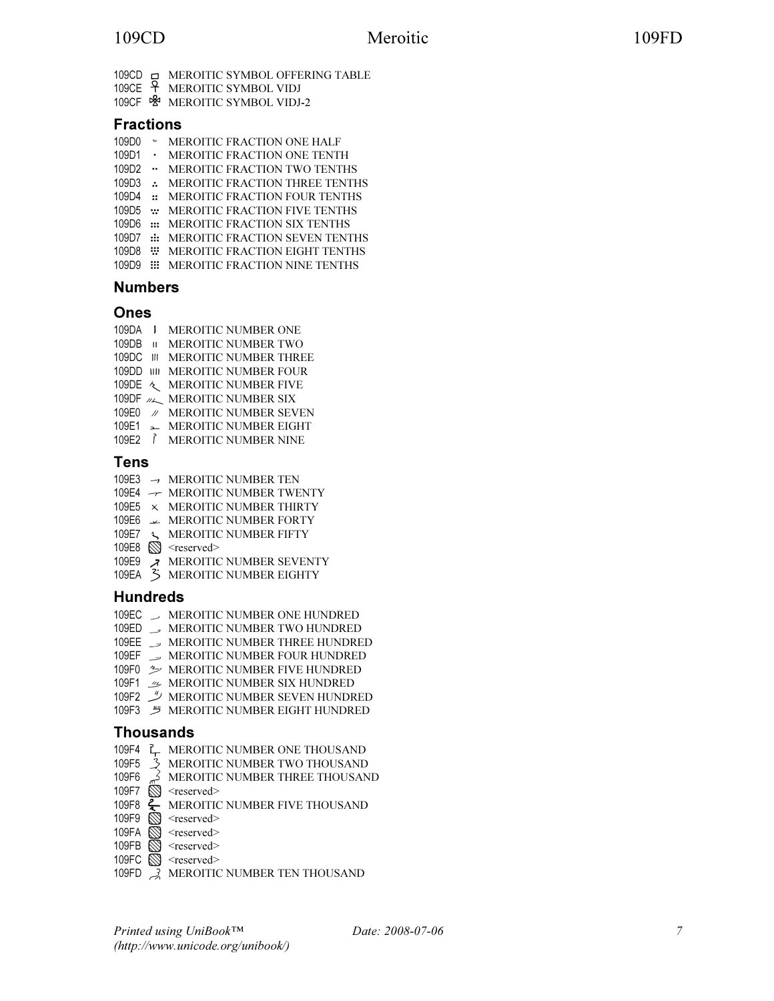- 109CD **INEROITIC SYMBOL OFFERING TABLE**
- 109CE MEROITIC SYMBOL VIDJ
- 109CF MEROITIC SYMBOL VIDJ-2

### Fractions

- 109D0 MEROITIC FRACTION ONE HALF
- 109D1 MEROITIC FRACTION ONE TENTH
- 109D2 MEROITIC FRACTION TWO TENTHS
- 109D3 : MEROITIC FRACTION THREE TENTHS
- 109D4 : MEROITIC FRACTION FOUR TENTHS
- 109D5 : MEROITIC FRACTION FIVE TENTHS
- 109D6 ::: MEROITIC FRACTION SIX TENTHS
- 109D7 :: MEROITIC FRACTION SEVEN TENTHS
- 109D8 **WEROITIC FRACTION EIGHT TENTHS**
- 109D9 **III** MEROITIC FRACTION NINE TENTHS

### Numbers

### Ones

- 109DA **I** MEROITIC NUMBER ONE
- 109DB **II MEROITIC NUMBER TWO**
- 109DC **III MEROITIC NUMBER THREE**
- 109DD **MILL MEROITIC NUMBER FOUR**
- 109DE  $\sim$  MEROITIC NUMBER FIVE
- 109DF  $M_{\text{max}}$  MEROITIC NUMBER SIX
- 109E0 / MEROITIC NUMBER SEVEN
- 109E1 = MEROITIC NUMBER EIGHT
- 109E2 *I* MEROITIC NUMBER NINE

### Tens

- 109E3 MEROITIC NUMBER TEN
- 109E4  $\rightarrow$  MEROITIC NUMBER TWENTY
- 109E5 MEROITIC NUMBER THIRTY
- 109E6  $\rightarrow$  MEROITIC NUMBER FORTY
- 109E7 & MEROITIC NUMBER FIFTY
- 109E8 S <reserved>
- 109E9 **X** MEROITIC NUMBER SEVENTY
- 109EA MEROITIC NUMBER EIGHTY

### Hundreds

- 109EC > MEROITIC NUMBER ONE HUNDRED
- 109ED MEROITIC NUMBER TWO HUNDRED
- 109EE **WEROITIC NUMBER THREE HUNDRED**
- 109EF MEROITIC NUMBER FOUR HUNDRED
- 109F0  $\gg$  MEROITIC NUMBER FIVE HUNDRED
- 109F1  $\mathcal{L}$  MEROITIC NUMBER SIX HUNDRED
- 109F2 MEROITIC NUMBER SEVEN HUNDRED
- 109F3 ツ MEROITIC NUMBER EIGHT HUNDRED

### Thousands

- 109F4 <sup>2</sup> MEROITIC NUMBER ONE THOUSAND
- 109F5 > MEROITIC NUMBER TWO THOUSAND
- 109F6  $\rightarrow$  MEROITIC NUMBER THREE THOUSAND
- 109F7  $\bigotimes$  <reserved>
- 109F8  $\leftarrow$  MEROITIC NUMBER FIVE THOUSAND
- 109F9  $\bigotimes$  <reserved>
- 109FA S <reserved>
- 109FB **S** <reserved>
- 109FC S <reserved>
- 109FD  $\rightarrow$  MEROITIC NUMBER TEN THOUSAND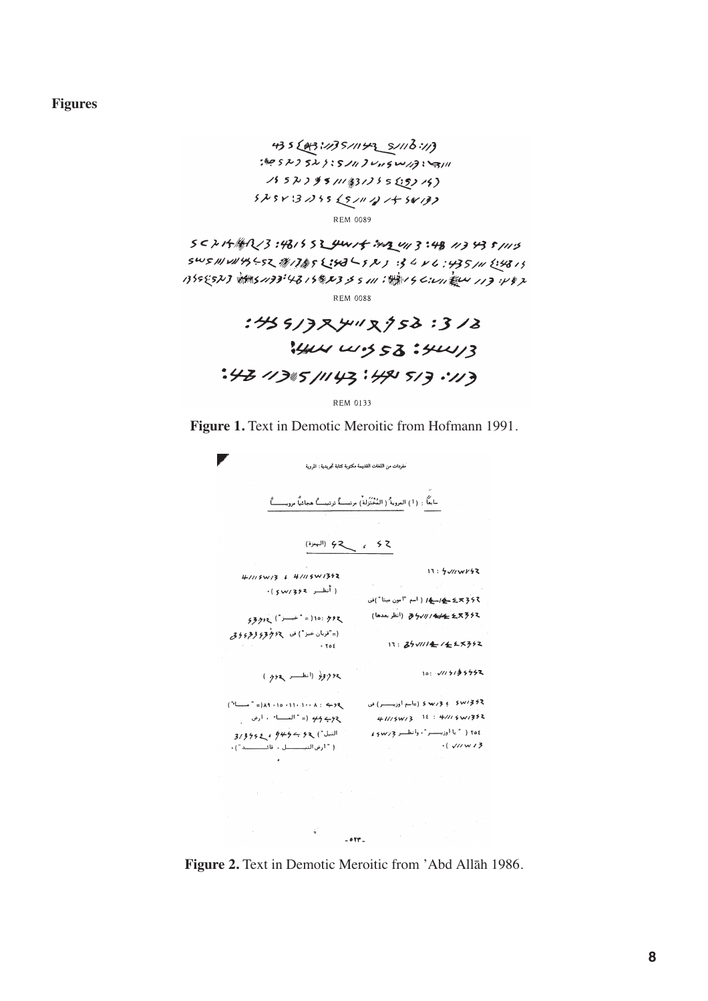**Figures**

(//: 3/1/ 7 \_ جسوا // 7 3/1/ 43 5 3 3 3 .<br>االت : 3/1 مسرى درسر 3 رابر 5 : 5 1 5 5 9 %.  $15523951143125525315$  $52543255251121777$ **REM 0089** 

 $5024.444023.4815524415.342413.481134351115$  $505114145521111852387224352134433443511121313$ 1355523 11451133:4315823355111:1111156:411 起4113:482 **REM 0088** 

> :45513R4"R958:318 14W W.S 53:4W/3 :43 113 143 :49 513 ·113

> > **REM 0133**

**Figure 1.** Text in Demotic Meroitic from Hofmann 1991.



**Figure 2.** Text in Demotic Meroitic from 'Abd Allāh 1986.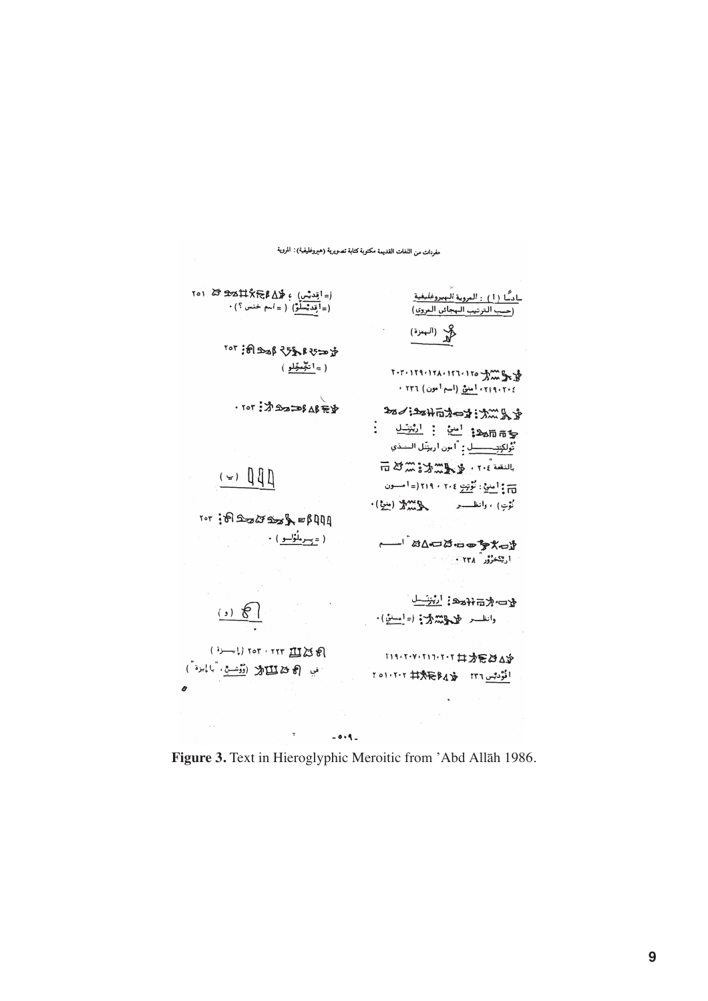

**Figure 3.** Text in Hieroglyphic Meroitic from 'Abd Allāh 1986.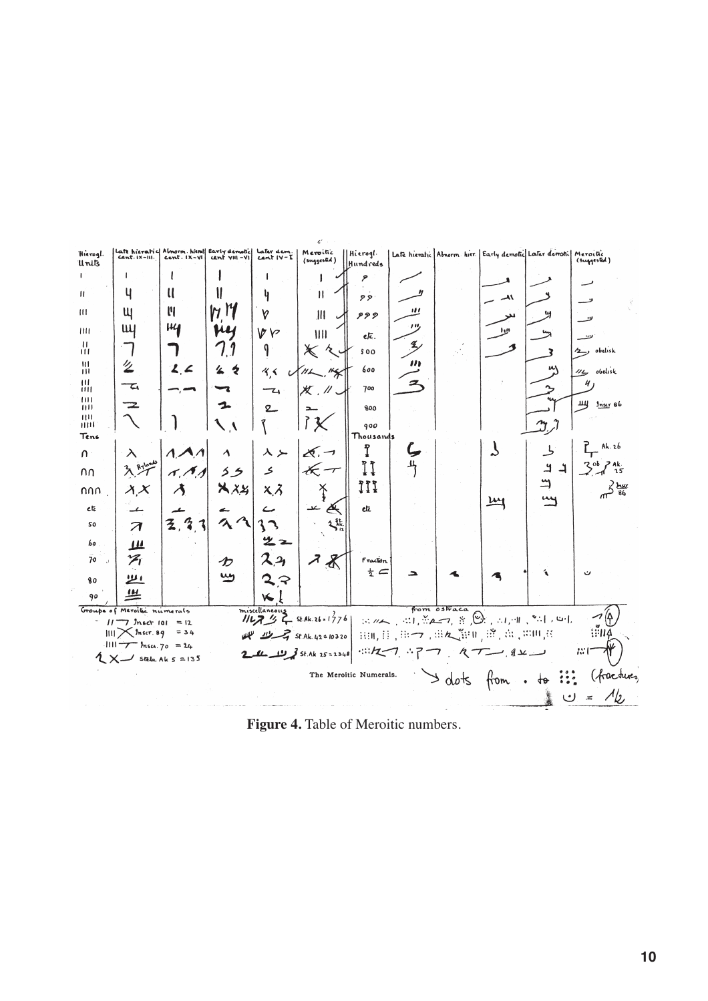| Hierogl.<br>Units | Cent. IX-III.                                                   | Late hieratic Almorm. hiem! Early demotic Later dem.<br>$cent.$ $IX-VI$ | cent vill-VI      | $curl IV-I$                | Meroitic<br>(suggested)                                                                      | Hieroql.<br>Hundreds   |      |              | Late hieratic Abnorm hier. Early demotic Later demotic Meroclic |                            | (Suggested)        |
|-------------------|-----------------------------------------------------------------|-------------------------------------------------------------------------|-------------------|----------------------------|----------------------------------------------------------------------------------------------|------------------------|------|--------------|-----------------------------------------------------------------|----------------------------|--------------------|
| $\mathbf{I}$      |                                                                 |                                                                         |                   |                            |                                                                                              | ۶                      |      |              |                                                                 |                            |                    |
| $\mathbf{H}$      | ч                                                               | U                                                                       |                   | ų                          | Ħ                                                                                            | 22                     |      |              | $\overline{\mathcal{A}}$                                        |                            |                    |
| $\overline{111}$  | Щ                                                               | ľ                                                                       | $M$ <sup>14</sup> | v                          | Ш                                                                                            | 999                    | ,,,  |              | للز                                                             |                            | ىن_                |
| III1              | Щ                                                               | $\mu_{\mathbf{I}}$                                                      | fu                | ゆい                         | III                                                                                          | etc.                   | , ., |              | الاا                                                            |                            | ىست                |
| 픖                 |                                                                 |                                                                         |                   | q.                         | $\boldsymbol{\times}$<br>$\lambda$                                                           | 500                    | Ł,   |              |                                                                 |                            | 2, obelisk         |
| m<br>Ш            | '/                                                              | 2, 2                                                                    | く々                | 4.5<br>$\overline{u}$      | $M\Box$                                                                                      | 600                    |      |              |                                                                 | m                          | 115 obelisk        |
| ш<br>ш<br>Ш       | て                                                               |                                                                         |                   | $-\mathbf{z}$              | $X$ , $\prime\prime$                                                                         | 700                    | 二    |              |                                                                 |                            |                    |
| 1111<br>THE       | 2                                                               |                                                                         | 1.                | $\mathbf{2}$               |                                                                                              | 800                    |      |              |                                                                 |                            | щ <i>Jnst</i> 86   |
| HIII<br>Tens      |                                                                 |                                                                         |                   |                            |                                                                                              | 900<br>Thousands       |      |              |                                                                 | $\gamma$                   |                    |
| $\cap$            | $\lambda$                                                       |                                                                         | $\blacktriangle$  | $\lambda > 1$              | $\chi$ , $\neg$                                                                              | î                      |      |              | $\mathcal{L}_{\mathcal{A}}$                                     | し                          | $L_{\rm F}$ Ak. 26 |
| nn                |                                                                 | イ、イ、                                                                    | 55                | $\boldsymbol{\mathcal{S}}$ | $\mathscr{K} \mathscr{F}$                                                                    | II                     | ᅭ    |              |                                                                 | $\overline{4}$<br>$\Delta$ | $3^{ob}7^{ak}$     |
| nnn               | $\lambda$ , $X$                                                 | 才                                                                       | $X \times$        | $x, \lambda$               | ž                                                                                            | <b>!!!</b>             |      |              |                                                                 | 5                          | $3\frac{h}{86}$    |
| etc               | ے                                                               |                                                                         |                   |                            | التعبية<br>Ä                                                                                 | elz                    |      |              | $\underline{\mathsf{m}}$                                        |                            |                    |
| 50                | $\overline{\mathcal{A}}$                                        | 3,3,3                                                                   | 22                |                            | بأثمه                                                                                        |                        |      |              |                                                                 |                            |                    |
| 60                | $\mathbf{\mu}$                                                  |                                                                         |                   | ツェ                         |                                                                                              |                        |      |              |                                                                 |                            |                    |
| 70<br>$\sim$      | プ                                                               |                                                                         | ゕ                 |                            | $\boldsymbol{z}$<br>$\boldsymbol{\mathcal{K}}$                                               | Fracton                |      |              |                                                                 |                            |                    |
| 80                | <u>ا لاا</u>                                                    |                                                                         | سيا               | ママ                         |                                                                                              | $rac{1}{2}$ $\subset$  |      |              |                                                                 |                            |                    |
| 90                | <u>ण</u>                                                        |                                                                         |                   | ₩                          |                                                                                              |                        |      |              |                                                                 |                            |                    |
|                   | Groups of Mercitic numerals<br>$11 - 7$ <i>Inscr</i> $101 = 12$ |                                                                         |                   |                            | miscellaneous<br>1127 7 St.Ak.26-1776   :: 112   :: 12   :: 1, 12   :: 1, 11   " : 1, 11   4 |                        |      | from ostraca |                                                                 |                            |                    |
|                   | $III$ $\chi$ <i>Inser.</i> 89<br>$1111 - 7$ hsc. $70 = 24$      | $=$ 34                                                                  |                   |                            | st Ak. 42 = 10320 كمجيستر للكللة                                                             |                        |      |              | 虫m,目、田→、田& [hu, 道, 出, 中川君                                       |                            | ₩ĤI                |
|                   | $2 \times$ Stela Ak 5 = 135                                     |                                                                         |                   |                            | 2 1 1 2 3 st Ak 25 = 2348 : 12 7 . 1 7 7 . RT - 2 x -                                        |                        |      |              |                                                                 |                            | ぷ                  |
|                   |                                                                 |                                                                         |                   |                            |                                                                                              | The Meroitic Numerals. |      |              | $>$ dots from $\cdot$ to $::$                                   |                            | (fractures         |
|                   |                                                                 |                                                                         |                   |                            |                                                                                              |                        |      |              |                                                                 | ں                          | $\asymp$           |
|                   |                                                                 |                                                                         |                   |                            |                                                                                              |                        |      |              |                                                                 |                            |                    |

**Figure 4.** Table of Meroitic numbers.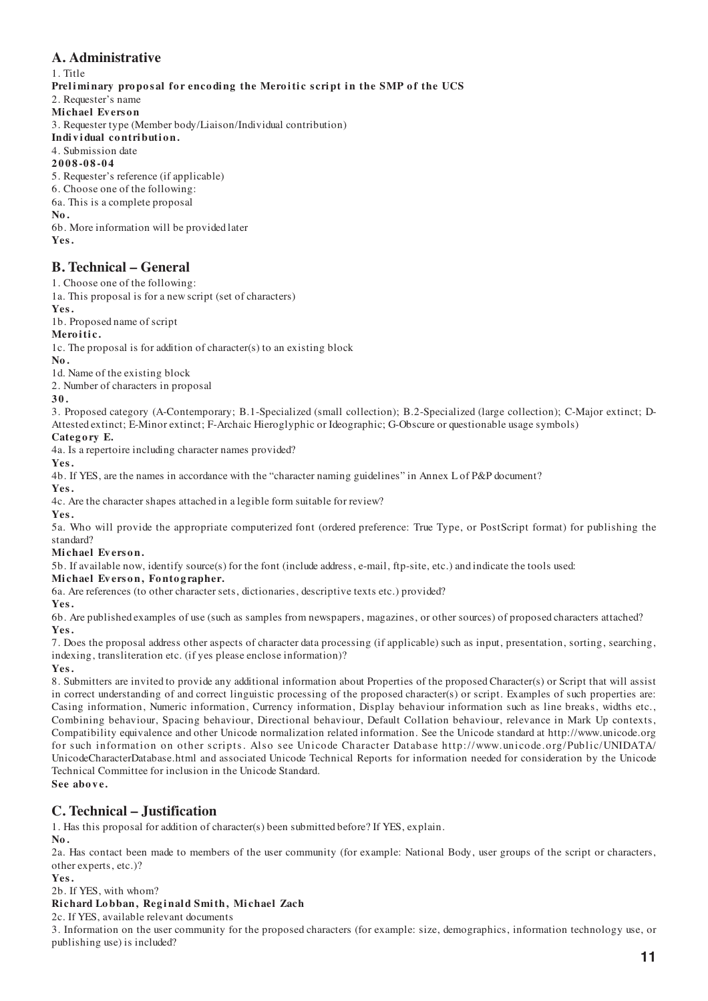# **A. Administrative**

1. Title Preliminary proposal for encoding the Meroitic script in the SMP of the UCS 2. Requester's name **Mi chael Ev ers o n** 3. Requester type (Member body/Liaison/Individual contribution) Individual contribution. 4. Submission date **2008-08-04** 5. Requester's reference (if applicable) 6. Choose one of the following: 6a. This is a complete proposal **No.** 6b. More information will be provided later **Yes.**

# **B. Technical – General**

1. Choose one of the following:

1a. This proposal is for a new script (set of characters)

**Yes.**

1b. Proposed name of script

### **Mero i ti c.**

1c. The proposal is for addition of character(s) to an existing block

**No.**

1d. Name of the existing block

2. Number of characters in proposal

**30.**

3. Proposed category (A-Contemporary; B.1-Specialized (small collection); B.2-Specialized (large collection); C-Major extinct; D-Attested extinct; E-Minor extinct; F-Archaic Hieroglyphic or Ideographic; G-Obscure or questionable usage symbols)

### Category E.

4a. Is a repertoire including character names provided?

**Yes.**

4b. If YES, are the names in accordance with the "character naming guidelines" in Annex L of P&P document?

**Yes.**

4c. Are the character shapes attached in a legible form suitable for review?

**Yes.**

5a. Who will provide the appropriate computerized font (ordered preference: True Type, or PostScript format) for publishing the standard?

#### **Mi chael Ev ers o n.**

5b. If available now, identify source(s) for the font (include address, e-mail, ftp-site, etc.) and indicate the tools used:

**Mi chael Ev ers o n, Fo nto g rapher.**

6a. Are references (to other character sets, dictionaries, descriptive texts etc.) provided?

**Yes.**

6b. Are published examples of use (such as samples from newspapers, magazines, or other sources) of proposed characters attached? **Yes.**

7. Does the proposal address other aspects of character data processing (if applicable) such as input, presentation, sorting, searching, indexing, transliteration etc. (if yes please enclose information)?

**Yes.**

8. Submitters are invited to provide any additional information about Properties of the proposed Character(s) or Script that will assist in correct understanding of and correct linguistic processing of the proposed character(s) or script. Examples of such properties are: Casing information, Numeric information, Currency information, Display behaviour information such as line breaks, widths etc., Combining behaviour, Spacing behaviour, Directional behaviour, Default Collation behaviour, relevance in Mark Up contexts, Compatibility equivalence and other Unicode normalization related information. See the Unicode standard at http://www.unicode.org for such information on other scripts. Also see Unicode Character Database http://www. unicode. org/Public/UNIDATA/ UnicodeCharacterDatabase.html and associated Unicode Technical Reports for information needed for consideration by the Unicode Technical Committee for inclusion in the Unicode Standard.

**See above.**

# **C. Technical – Justification**

1. Has this proposal for addition of character(s) been submitted before? If YES, explain.

**No.**

2a. Has contact been made to members of the user community (for example: National Body, user groups of the script or characters, other experts, etc.)?

**Yes.**

2b. If YES, with whom?

### **Ri chard Lo bban, Reg i nal d Smi th, Mi chael Zach**

2c. If YES, available relevant documents

3. Information on the user community for the proposed characters (for example: size, demographics, information technology use, or publishing use) is included?